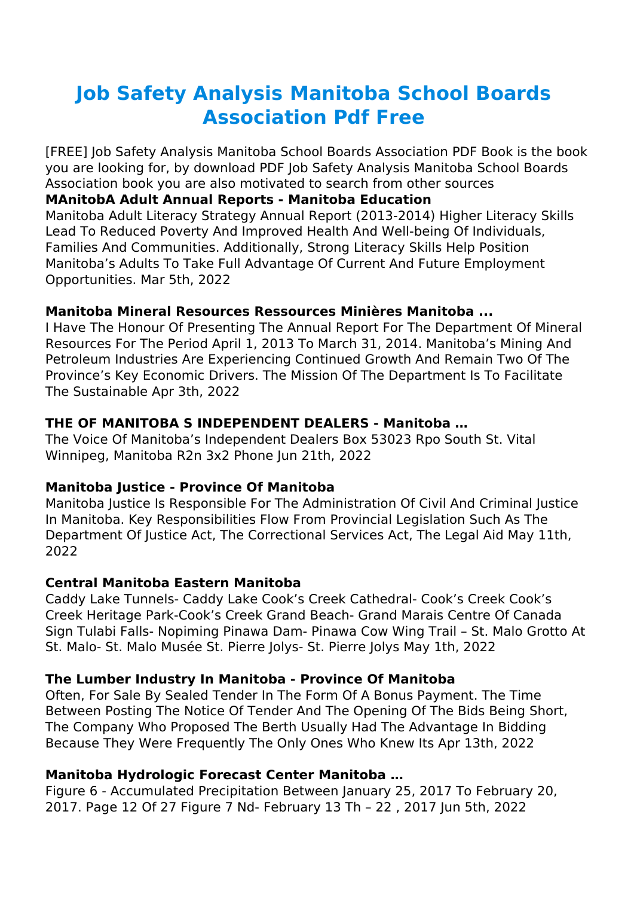# **Job Safety Analysis Manitoba School Boards Association Pdf Free**

[FREE] Job Safety Analysis Manitoba School Boards Association PDF Book is the book you are looking for, by download PDF Job Safety Analysis Manitoba School Boards Association book you are also motivated to search from other sources

## **MAnitobA Adult Annual Reports - Manitoba Education**

Manitoba Adult Literacy Strategy Annual Report (2013-2014) Higher Literacy Skills Lead To Reduced Poverty And Improved Health And Well-being Of Individuals, Families And Communities. Additionally, Strong Literacy Skills Help Position Manitoba's Adults To Take Full Advantage Of Current And Future Employment Opportunities. Mar 5th, 2022

## **Manitoba Mineral Resources Ressources Minières Manitoba ...**

I Have The Honour Of Presenting The Annual Report For The Department Of Mineral Resources For The Period April 1, 2013 To March 31, 2014. Manitoba's Mining And Petroleum Industries Are Experiencing Continued Growth And Remain Two Of The Province's Key Economic Drivers. The Mission Of The Department Is To Facilitate The Sustainable Apr 3th, 2022

## **THE OF MANITOBA S INDEPENDENT DEALERS - Manitoba …**

The Voice Of Manitoba's Independent Dealers Box 53023 Rpo South St. Vital Winnipeg, Manitoba R2n 3x2 Phone Jun 21th, 2022

## **Manitoba Justice - Province Of Manitoba**

Manitoba Justice Is Responsible For The Administration Of Civil And Criminal Justice In Manitoba. Key Responsibilities Flow From Provincial Legislation Such As The Department Of Justice Act, The Correctional Services Act, The Legal Aid May 11th, 2022

## **Central Manitoba Eastern Manitoba**

Caddy Lake Tunnels- Caddy Lake Cook's Creek Cathedral- Cook's Creek Cook's Creek Heritage Park-Cook's Creek Grand Beach- Grand Marais Centre Of Canada Sign Tulabi Falls- Nopiming Pinawa Dam- Pinawa Cow Wing Trail – St. Malo Grotto At St. Malo- St. Malo Musée St. Pierre Jolys- St. Pierre Jolys May 1th, 2022

# **The Lumber Industry In Manitoba - Province Of Manitoba**

Often, For Sale By Sealed Tender In The Form Of A Bonus Payment. The Time Between Posting The Notice Of Tender And The Opening Of The Bids Being Short, The Company Who Proposed The Berth Usually Had The Advantage In Bidding Because They Were Frequently The Only Ones Who Knew Its Apr 13th, 2022

# **Manitoba Hydrologic Forecast Center Manitoba …**

Figure 6 - Accumulated Precipitation Between January 25, 2017 To February 20, 2017. Page 12 Of 27 Figure 7 Nd- February 13 Th – 22 , 2017 Jun 5th, 2022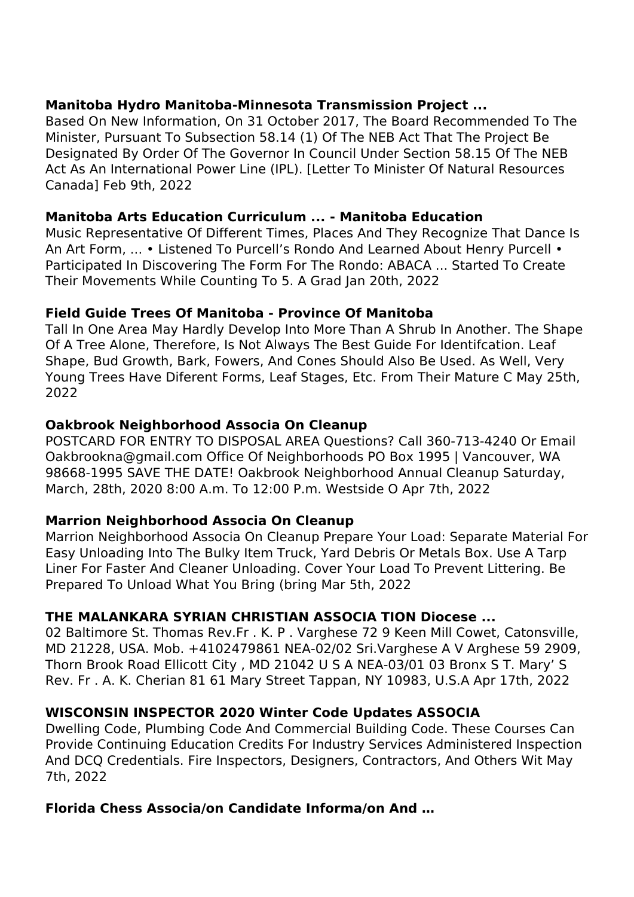## **Manitoba Hydro Manitoba-Minnesota Transmission Project ...**

Based On New Information, On 31 October 2017, The Board Recommended To The Minister, Pursuant To Subsection 58.14 (1) Of The NEB Act That The Project Be Designated By Order Of The Governor In Council Under Section 58.15 Of The NEB Act As An International Power Line (IPL). [Letter To Minister Of Natural Resources Canada] Feb 9th, 2022

## **Manitoba Arts Education Curriculum ... - Manitoba Education**

Music Representative Of Different Times, Places And They Recognize That Dance Is An Art Form, ... • Listened To Purcell's Rondo And Learned About Henry Purcell • Participated In Discovering The Form For The Rondo: ABACA ... Started To Create Their Movements While Counting To 5. A Grad Jan 20th, 2022

## **Field Guide Trees Of Manitoba - Province Of Manitoba**

Tall In One Area May Hardly Develop Into More Than A Shrub In Another. The Shape Of A Tree Alone, Therefore, Is Not Always The Best Guide For Identifcation. Leaf Shape, Bud Growth, Bark, Fowers, And Cones Should Also Be Used. As Well, Very Young Trees Have Diferent Forms, Leaf Stages, Etc. From Their Mature C May 25th, 2022

# **Oakbrook Neighborhood Associa On Cleanup**

POSTCARD FOR ENTRY TO DISPOSAL AREA Questions? Call 360-713-4240 Or Email Oakbrookna@gmail.com Office Of Neighborhoods PO Box 1995 | Vancouver, WA 98668-1995 SAVE THE DATE! Oakbrook Neighborhood Annual Cleanup Saturday, March, 28th, 2020 8:00 A.m. To 12:00 P.m. Westside O Apr 7th, 2022

# **Marrion Neighborhood Associa On Cleanup**

Marrion Neighborhood Associa On Cleanup Prepare Your Load: Separate Material For Easy Unloading Into The Bulky Item Truck, Yard Debris Or Metals Box. Use A Tarp Liner For Faster And Cleaner Unloading. Cover Your Load To Prevent Littering. Be Prepared To Unload What You Bring (bring Mar 5th, 2022

# **THE MALANKARA SYRIAN CHRISTIAN ASSOCIA TION Diocese ...**

02 Baltimore St. Thomas Rev.Fr . K. P . Varghese 72 9 Keen Mill Cowet, Catonsville, MD 21228, USA. Mob. +4102479861 NEA-02/02 Sri.Varghese A V Arghese 59 2909, Thorn Brook Road Ellicott City , MD 21042 U S A NEA-03/01 03 Bronx S T. Mary' S Rev. Fr . A. K. Cherian 81 61 Mary Street Tappan, NY 10983, U.S.A Apr 17th, 2022

# **WISCONSIN INSPECTOR 2020 Winter Code Updates ASSOCIA**

Dwelling Code, Plumbing Code And Commercial Building Code. These Courses Can Provide Continuing Education Credits For Industry Services Administered Inspection And DCQ Credentials. Fire Inspectors, Designers, Contractors, And Others Wit May 7th, 2022

# **Florida Chess Associa/on Candidate Informa/on And …**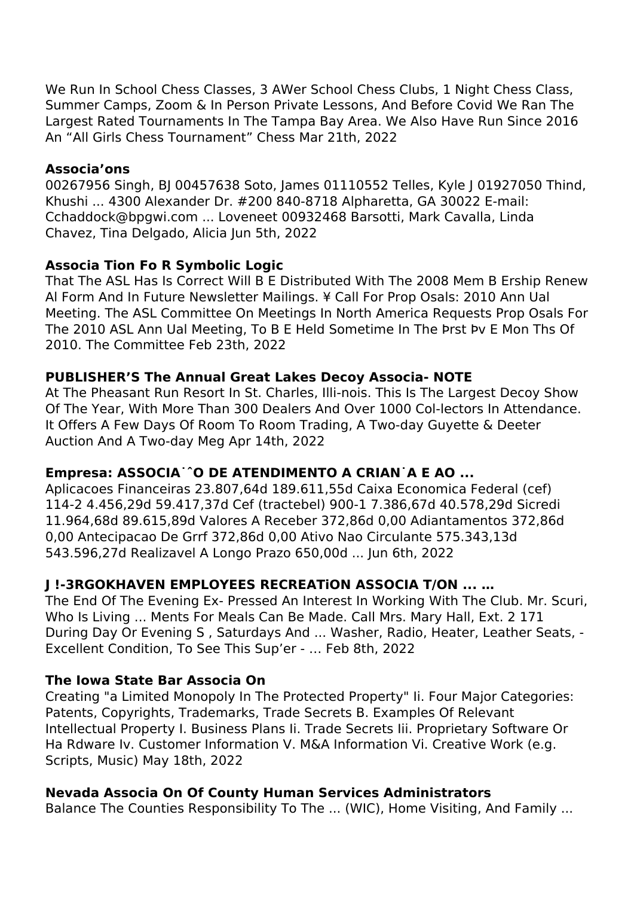We Run In School Chess Classes, 3 AWer School Chess Clubs, 1 Night Chess Class, Summer Camps, Zoom & In Person Private Lessons, And Before Covid We Ran The Largest Rated Tournaments In The Tampa Bay Area. We Also Have Run Since 2016 An "All Girls Chess Tournament" Chess Mar 21th, 2022

#### **Associa'ons**

00267956 Singh, BJ 00457638 Soto, James 01110552 Telles, Kyle J 01927050 Thind, Khushi ... 4300 Alexander Dr. #200 840-8718 Alpharetta, GA 30022 E-mail: Cchaddock@bpgwi.com ... Loveneet 00932468 Barsotti, Mark Cavalla, Linda Chavez, Tina Delgado, Alicia Jun 5th, 2022

## **Associa Tion Fo R Symbolic Logic**

That The ASL Has Is Correct Will B E Distributed With The 2008 Mem B Ership Renew Al Form And In Future Newsletter Mailings. ¥ Call For Prop Osals: 2010 Ann Ual Meeting. The ASL Committee On Meetings In North America Requests Prop Osals For The 2010 ASL Ann Ual Meeting, To B E Held Sometime In The Þrst Þv E Mon Ths Of 2010. The Committee Feb 23th, 2022

## **PUBLISHER'S The Annual Great Lakes Decoy Associa- NOTE**

At The Pheasant Run Resort In St. Charles, Illi-nois. This Is The Largest Decoy Show Of The Year, With More Than 300 Dealers And Over 1000 Col-lectors In Attendance. It Offers A Few Days Of Room To Room Trading, A Two-day Guyette & Deeter Auction And A Two-day Meg Apr 14th, 2022

# **Empresa: ASSOCIA˙ˆO DE ATENDIMENTO A CRIAN˙A E AO ...**

Aplicacoes Financeiras 23.807,64d 189.611,55d Caixa Economica Federal (cef) 114-2 4.456,29d 59.417,37d Cef (tractebel) 900-1 7.386,67d 40.578,29d Sicredi 11.964,68d 89.615,89d Valores A Receber 372,86d 0,00 Adiantamentos 372,86d 0,00 Antecipacao De Grrf 372,86d 0,00 Ativo Nao Circulante 575.343,13d 543.596,27d Realizavel A Longo Prazo 650,00d ... Jun 6th, 2022

# **J !-3RGOKHAVEN EMPLOYEES RECREATiON ASSOCIA T/ON ... …**

The End Of The Evening Ex- Pressed An Interest In Working With The Club. Mr. Scuri, Who Is Living ... Ments For Meals Can Be Made. Call Mrs. Mary Hall, Ext. 2 171 During Day Or Evening S , Saturdays And ... Washer, Radio, Heater, Leather Seats, - Excellent Condition, To See This Sup'er - … Feb 8th, 2022

## **The Iowa State Bar Associa On**

Creating "a Limited Monopoly In The Protected Property" Ii. Four Major Categories: Patents, Copyrights, Trademarks, Trade Secrets B. Examples Of Relevant Intellectual Property I. Business Plans Ii. Trade Secrets Iii. Proprietary Software Or Ha Rdware Iv. Customer Information V. M&A Information Vi. Creative Work (e.g. Scripts, Music) May 18th, 2022

## **Nevada Associa On Of County Human Services Administrators**

Balance The Counties Responsibility To The ... (WIC), Home Visiting, And Family ...